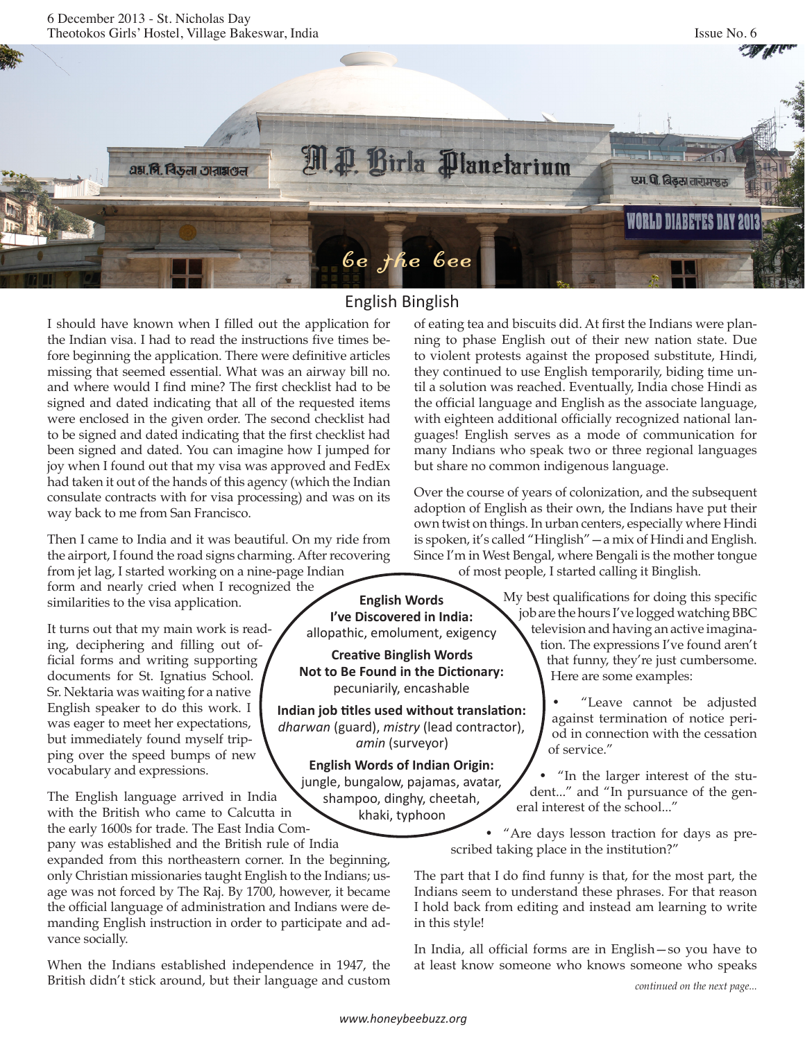

## English Binglish

**I've Discovered in India:** allopathic, emolument, exigency **Creative Binglish Words Not to Be Found in the Dictionary:** pecuniarily, encashable **Indian job titles used without translation:** *dharwan* (guard), *mistry* (lead contractor), *amin* (surveyor) **English Words of Indian Origin:** jungle, bungalow, pajamas, avatar, shampoo, dinghy, cheetah, khaki, typhoon

I should have known when I filled out the application for the Indian visa. I had to read the instructions five times before beginning the application. There were definitive articles missing that seemed essential. What was an airway bill no. and where would I find mine? The first checklist had to be signed and dated indicating that all of the requested items were enclosed in the given order. The second checklist had to be signed and dated indicating that the first checklist had been signed and dated. You can imagine how I jumped for joy when I found out that my visa was approved and FedEx had taken it out of the hands of this agency (which the Indian consulate contracts with for visa processing) and was on its way back to me from San Francisco.

Then I came to India and it was beautiful. On my ride from the airport, I found the road signs charming. After recovering from jet lag, I started working on a nine-page Indian form and nearly cried when I recognized the similarities to the visa application. **English Words** 

It turns out that my main work is reading, deciphering and filling out official forms and writing supporting documents for St. Ignatius School. Sr. Nektaria was waiting for a native English speaker to do this work. I was eager to meet her expectations, but immediately found myself tripping over the speed bumps of new vocabulary and expressions.

The English language arrived in India with the British who came to Calcutta in the early 1600s for trade. The East India Com-

pany was established and the British rule of India expanded from this northeastern corner. In the beginning, only Christian missionaries taught English to the Indians; usage was not forced by The Raj. By 1700, however, it became the official language of administration and Indians were demanding English instruction in order to participate and advance socially.

When the Indians established independence in 1947, the British didn't stick around, but their language and custom of eating tea and biscuits did. At first the Indians were planning to phase English out of their new nation state. Due to violent protests against the proposed substitute, Hindi, they continued to use English temporarily, biding time until a solution was reached. Eventually, India chose Hindi as the official language and English as the associate language, with eighteen additional officially recognized national languages! English serves as a mode of communication for many Indians who speak two or three regional languages but share no common indigenous language.

Over the course of years of colonization, and the subsequent adoption of English as their own, the Indians have put their own twist on things. In urban centers, especially where Hindi is spoken, it's called "Hinglish"—a mix of Hindi and English. Since I'm in West Bengal, where Bengali is the mother tongue of most people, I started calling it Binglish.

> My best qualifications for doing this specific job are the hours I've logged watching BBC television and having an active imagination. The expressions I've found aren't that funny, they're just cumbersome. Here are some examples:

> > "Leave cannot be adjusted against termination of notice period in connection with the cessation of service."

• "In the larger interest of the student..." and "In pursuance of the general interest of the school..."

• "Are days lesson traction for days as prescribed taking place in the institution?"

The part that I do find funny is that, for the most part, the Indians seem to understand these phrases. For that reason I hold back from editing and instead am learning to write in this style!

In India, all official forms are in English—so you have to at least know someone who knows someone who speaks